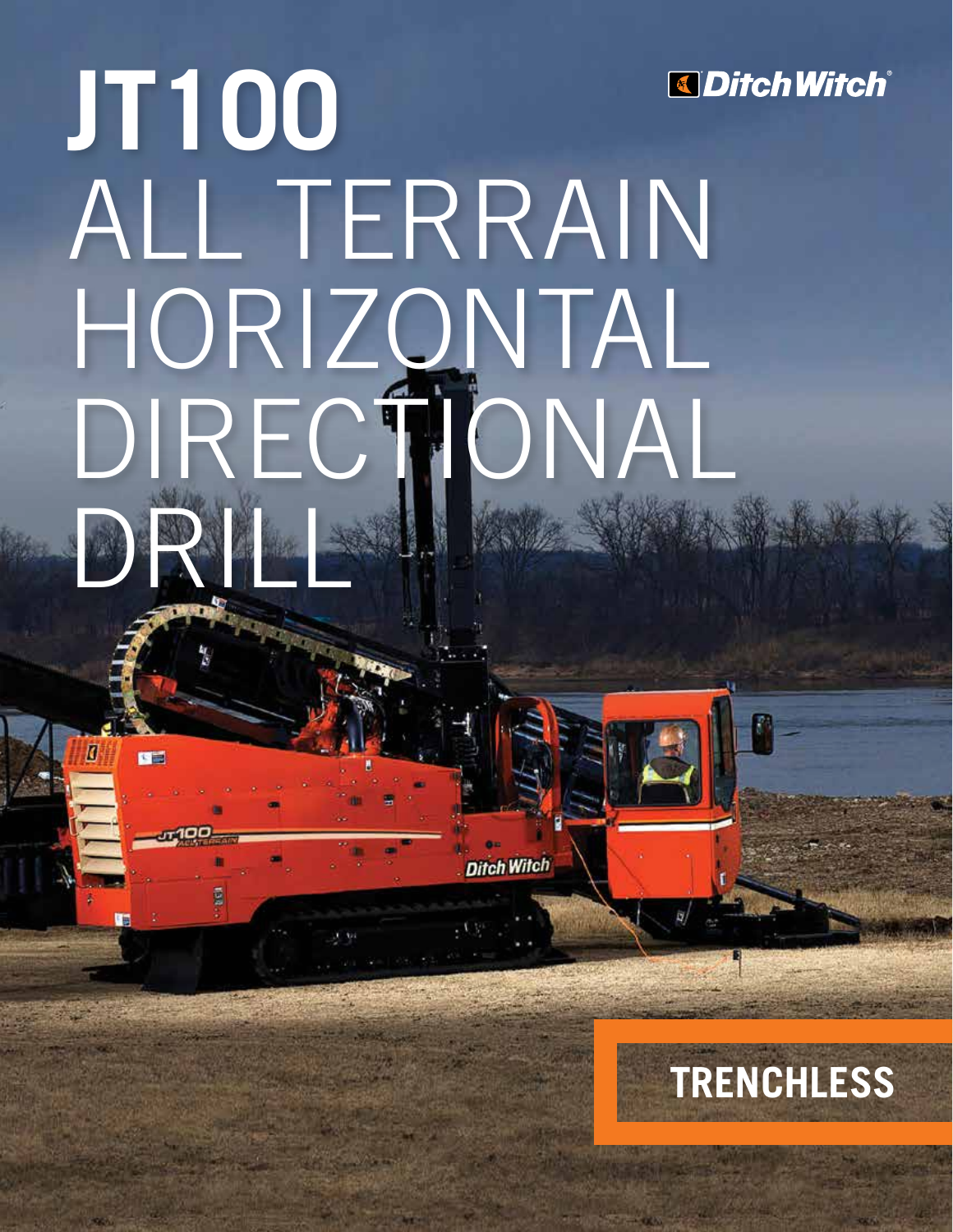# **JT100** *<u>Ditch Witch®</u>* ALL TERRAIN HORIZONTAL DIRECTIONAL DRILL

**Ditch Witch** 

四面

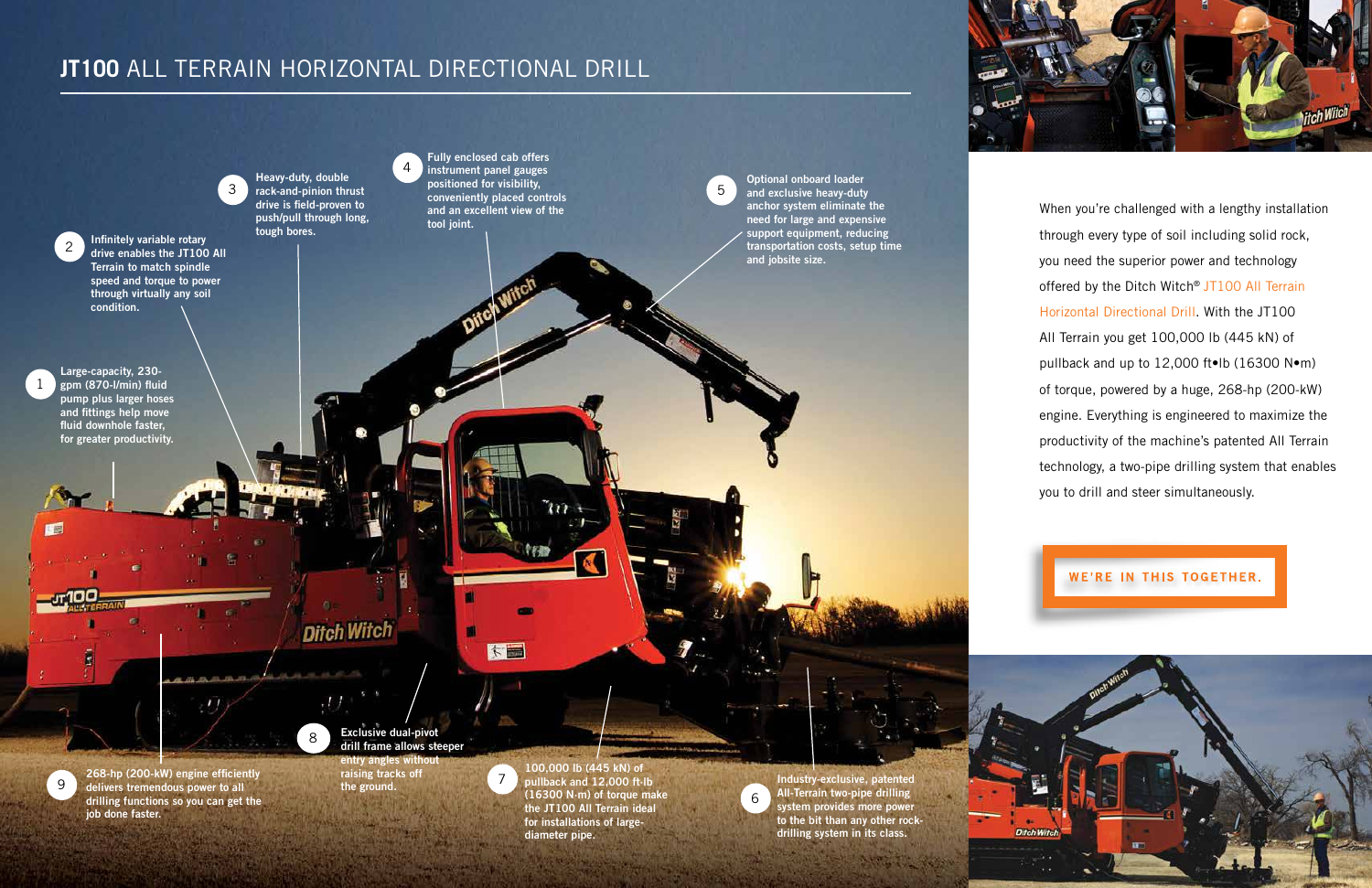## **JT100** ALL TERRAIN HORIZONTAL DIRECTIONAL DRILL

Infinitely variable rotary drive enables the JT100 All Terrain to match spindle speed and torque to power through virtually any soil condition.

2

Exclusive dual-pivot drill frame allows steeper entry angles without raising tracks off the ground.

268-hp (200-kW) engine efficiently delivers tremendous power to all drilling functions so you can get the job done faster.

8

100,000 lb (445 kN) of pullback and 12,000 ft·lb (16300 N·m) of torque make the JT100 All Terrain ideal for installations of largediameter pipe.

9



3

Large-capacity, 230  $gpm (870-I/min)$  fluid pump plus larger hoses and fittings help move fluid downhole faster, for greater productivity.

Fully enclosed cab offers instrument panel gauges positioned for visibility, conveniently placed controls and an excellent view of the tool joint.

大田

34

1

相關

Heavy-duty, double rack-and-pinion thrust drive is field-proven to push/pull through long, tough bores.

When you're challenged with a lengthy installation through every type of soil including solid rock, you need the superior power and technology offered by the Ditch Witch® JT100 All Terrain Horizontal Directional Drill. With the JT100 All Terrain you get 100,000 lb (445 kN) of pullback and up to 12,000 ft•lb (16300 N•m) of torque, powered by a huge, 268-hp (200-kW) engine. Everything is engineered to maximize the productivity of the machine's patented All Terrain technology, a two-pipe drilling system that enables you to drill and steer simultaneously.





Optional onboard loader and exclusive heavy-duty anchor system eliminate the need for large and expensive support equipment, reducing transportation costs, setup time and jobsite size.

**Ditch Witch** 

5

Industry-exclusive, patented All-Terrain two-pipe drilling system provides more power to the bit than any other rockdrilling system in its class.